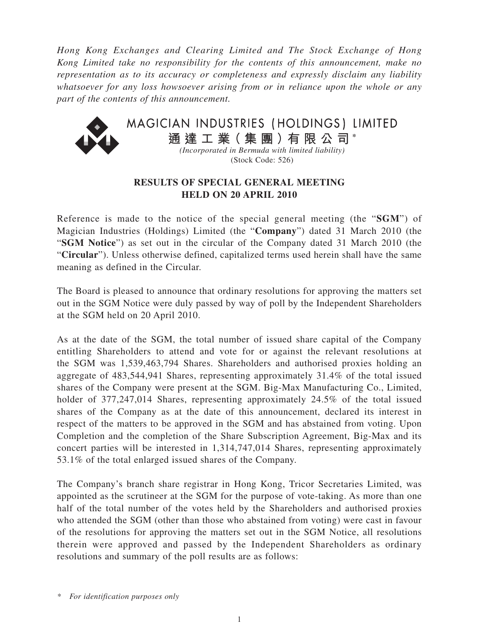*Hong Kong Exchanges and Clearing Limited and The Stock Exchange of Hong Kong Limited take no responsibility for the contents of this announcement, make no representation as to its accuracy or completeness and expressly disclaim any liability whatsoever for any loss howsoever arising from or in reliance upon the whole or any part of the contents of this announcement.*



## **RESULTS OF SPECIAL GENERAL MEETING HELD ON 20 APRIL 2010**

Reference is made to the notice of the special general meeting (the "**SGM**") of Magician Industries (Holdings) Limited (the "**Company**") dated 31 March 2010 (the "**SGM Notice**") as set out in the circular of the Company dated 31 March 2010 (the "**Circular**"). Unless otherwise defined, capitalized terms used herein shall have the same meaning as defined in the Circular.

The Board is pleased to announce that ordinary resolutions for approving the matters set out in the SGM Notice were duly passed by way of poll by the Independent Shareholders at the SGM held on 20 April 2010.

As at the date of the SGM, the total number of issued share capital of the Company entitling Shareholders to attend and vote for or against the relevant resolutions at the SGM was 1,539,463,794 Shares. Shareholders and authorised proxies holding an aggregate of 483,544,941 Shares, representing approximately 31.4% of the total issued shares of the Company were present at the SGM. Big-Max Manufacturing Co., Limited, holder of 377,247,014 Shares, representing approximately 24.5% of the total issued shares of the Company as at the date of this announcement, declared its interest in respect of the matters to be approved in the SGM and has abstained from voting. Upon Completion and the completion of the Share Subscription Agreement, Big-Max and its concert parties will be interested in 1,314,747,014 Shares, representing approximately 53.1% of the total enlarged issued shares of the Company.

The Company's branch share registrar in Hong Kong, Tricor Secretaries Limited, was appointed as the scrutineer at the SGM for the purpose of vote-taking. As more than one half of the total number of the votes held by the Shareholders and authorised proxies who attended the SGM (other than those who abstained from voting) were cast in favour of the resolutions for approving the matters set out in the SGM Notice, all resolutions therein were approved and passed by the Independent Shareholders as ordinary resolutions and summary of the poll results are as follows:

*<sup>\*</sup> For identification purposes only*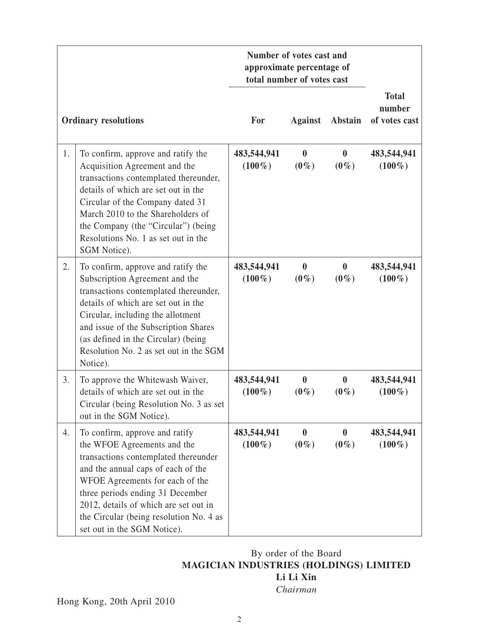|                             |                                                                                                                                                                                                                                                                                                                                       | Number of votes cast and<br>approximate percentage of<br>total number of votes cast |                             |                             |                                         |
|-----------------------------|---------------------------------------------------------------------------------------------------------------------------------------------------------------------------------------------------------------------------------------------------------------------------------------------------------------------------------------|-------------------------------------------------------------------------------------|-----------------------------|-----------------------------|-----------------------------------------|
| <b>Ordinary resolutions</b> |                                                                                                                                                                                                                                                                                                                                       | For                                                                                 | <b>Against</b>              | Abstain                     | <b>Total</b><br>number<br>of votes cast |
| 1.                          | To confirm, approve and ratify the<br>Acquisition Agreement and the<br>transactions contemplated thereunder,<br>details of which are set out in the<br>Circular of the Company dated 31<br>March 2010 to the Shareholders of<br>the Company (the "Circular") (being<br>Resolutions No. 1 as set out in the<br>SGM Notice).            | 483,544,941<br>$(100\%)$                                                            | $\boldsymbol{0}$<br>$(0\%)$ | $\bf{0}$<br>$(0\%)$         | 483,544,941<br>$(100\%)$                |
| 2.                          | To confirm, approve and ratify the<br>Subscription Agreement and the<br>transactions contemplated thereunder,<br>details of which are set out in the<br>Circular, including the allotment<br>and issue of the Subscription Shares<br>(as defined in the Circular) (being<br>Resolution No. 2 as set out in the SGM<br>Notice).        | 483,544,941<br>$(100\%)$                                                            | $\boldsymbol{0}$<br>$(0\%)$ | $\boldsymbol{0}$<br>$(0\%)$ | 483,544,941<br>$(100\%)$                |
| 3.                          | To approve the Whitewash Waiver,<br>details of which are set out in the<br>Circular (being Resolution No. 3 as set<br>out in the SGM Notice).                                                                                                                                                                                         | 483,544,941<br>$(100\%)$                                                            | $\boldsymbol{0}$<br>$(0\%)$ | $\boldsymbol{0}$<br>$(0\%)$ | 483,544,941<br>$(100\%)$                |
| 4.                          | To confirm, approve and ratify<br>the WFOE Agreements and the<br>transactions contemplated thereunder<br>and the annual caps of each of the<br>WFOE Agreements for each of the<br>three periods ending 31 December<br>2012, details of which are set out in<br>the Circular (being resolution No. 4 as<br>set out in the SGM Notice). | 483,544,941<br>$(100\%)$                                                            | $\bf{0}$<br>$(0\%)$         | $\mathbf{0}$<br>$(0\%)$     | 483,544,941<br>$(100\%)$                |

## By order of the Board **MAGICIAN INDUSTRIES (HOLDINGS) LIMITED Li Li Xin**

*Chairman*

Hong Kong, 20th April 2010